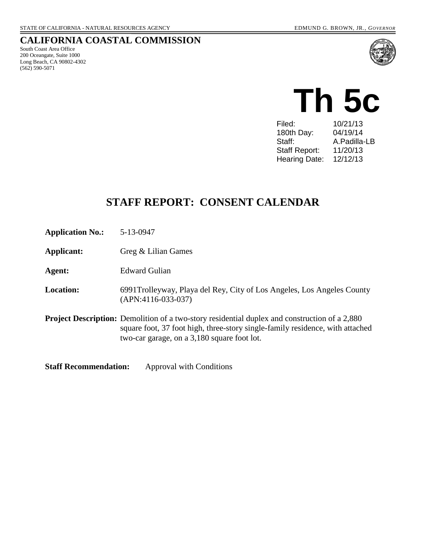#### **CALIFORNIA COASTAL COMMISSION**

South Coast Area Office 200 Oceangate, Suite 1000 Long Beach, CA 90802-4302 (562) 590-5071





| Filed:               | 10/21/13     |
|----------------------|--------------|
| 180th Day:           | 04/19/14     |
| Staff:               | A.Padilla-LB |
| <b>Staff Report:</b> | 11/20/13     |
| Hearing Date:        | 12/12/13     |
|                      |              |

# **STAFF REPORT: CONSENT CALENDAR**

**Application No.:** 5-13-0947

**Applicant:** Greg & Lilian Games

**Agent:** Edward Gulian

**Location:** 6991Trolleyway, Playa del Rey, City of Los Angeles, Los Angeles County (APN:4116-033-037)

**Project Description:** Demolition of a two-story residential duplex and construction of a 2,880 square foot, 37 foot high, three-story single-family residence, with attached two-car garage, on a 3,180 square foot lot.

**Staff Recommendation:** Approval with Conditions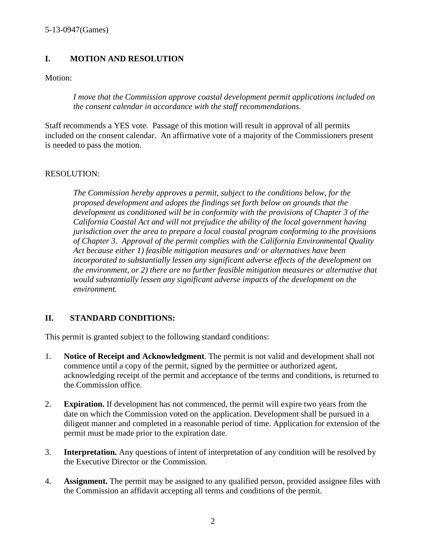# **I. MOTION AND RESOLUTION**

Motion:

*I move that the Commission approve coastal development permit applications included on the consent calendar in accordance with the staff recommendations.*

Staff recommends a YES vote. Passage of this motion will result in approval of all permits included on the consent calendar. An affirmative vote of a majority of the Commissioners present is needed to pass the motion.

#### RESOLUTION:

*The Commission hereby approves a permit, subject to the conditions below, for the proposed development and adopts the findings set forth below on grounds that the development as conditioned will be in conformity with the provisions of Chapter 3 of the California Coastal Act and will not prejudice the ability of the local government having jurisdiction over the area to prepare a local coastal program conforming to the provisions of Chapter 3. Approval of the permit complies with the California Environmental Quality Act because either 1) feasible mitigation measures and/ or alternatives have been incorporated to substantially lessen any significant adverse effects of the development on the environment, or 2) there are no further feasible mitigation measures or alternative that would substantially lessen any significant adverse impacts of the development on the environment.*

# **II. STANDARD CONDITIONS:**

This permit is granted subject to the following standard conditions:

- 1. **Notice of Receipt and Acknowledgment**. The permit is not valid and development shall not commence until a copy of the permit, signed by the permittee or authorized agent, acknowledging receipt of the permit and acceptance of the terms and conditions, is returned to the Commission office.
- 2. **Expiration.** If development has not commenced, the permit will expire two years from the date on which the Commission voted on the application. Development shall be pursued in a diligent manner and completed in a reasonable period of time. Application for extension of the permit must be made prior to the expiration date.
- 3. **Interpretation.** Any questions of intent of interpretation of any condition will be resolved by the Executive Director or the Commission.
- 4. **Assignment.** The permit may be assigned to any qualified person, provided assignee files with the Commission an affidavit accepting all terms and conditions of the permit.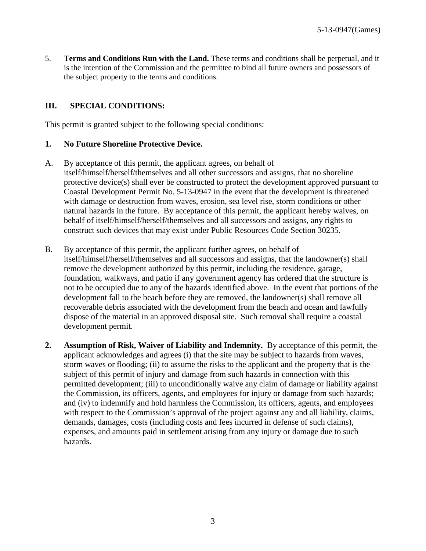5. **Terms and Conditions Run with the Land.** These terms and conditions shall be perpetual, and it is the intention of the Commission and the permittee to bind all future owners and possessors of the subject property to the terms and conditions.

#### **III. SPECIAL CONDITIONS:**

This permit is granted subject to the following special conditions:

#### **1. No Future Shoreline Protective Device.**

- A. By acceptance of this permit, the applicant agrees, on behalf of itself/himself/herself/themselves and all other successors and assigns, that no shoreline protective device(s) shall ever be constructed to protect the development approved pursuant to Coastal Development Permit No. 5-13-0947 in the event that the development is threatened with damage or destruction from waves, erosion, sea level rise, storm conditions or other natural hazards in the future. By acceptance of this permit, the applicant hereby waives, on behalf of itself/himself/herself/themselves and all successors and assigns, any rights to construct such devices that may exist under Public Resources Code Section 30235.
- B. By acceptance of this permit, the applicant further agrees, on behalf of itself/himself/herself/themselves and all successors and assigns, that the landowner(s) shall remove the development authorized by this permit, including the residence, garage, foundation, walkways, and patio if any government agency has ordered that the structure is not to be occupied due to any of the hazards identified above. In the event that portions of the development fall to the beach before they are removed, the landowner(s) shall remove all recoverable debris associated with the development from the beach and ocean and lawfully dispose of the material in an approved disposal site. Such removal shall require a coastal development permit.
- **2. Assumption of Risk, Waiver of Liability and Indemnity.** By acceptance of this permit, the applicant acknowledges and agrees (i) that the site may be subject to hazards from waves, storm waves or flooding; (ii) to assume the risks to the applicant and the property that is the subject of this permit of injury and damage from such hazards in connection with this permitted development; (iii) to unconditionally waive any claim of damage or liability against the Commission, its officers, agents, and employees for injury or damage from such hazards; and (iv) to indemnify and hold harmless the Commission, its officers, agents, and employees with respect to the Commission's approval of the project against any and all liability, claims, demands, damages, costs (including costs and fees incurred in defense of such claims), expenses, and amounts paid in settlement arising from any injury or damage due to such hazards.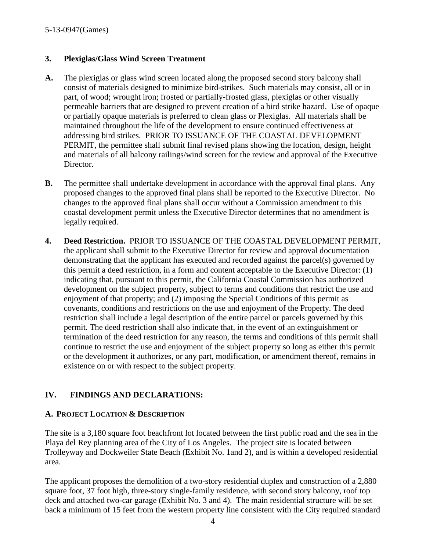#### **3. Plexiglas/Glass Wind Screen Treatment**

- **A.** The plexiglas or glass wind screen located along the proposed second story balcony shall consist of materials designed to minimize bird-strikes. Such materials may consist, all or in part, of wood; wrought iron; frosted or partially-frosted glass, plexiglas or other visually permeable barriers that are designed to prevent creation of a bird strike hazard. Use of opaque or partially opaque materials is preferred to clean glass or Plexiglas. All materials shall be maintained throughout the life of the development to ensure continued effectiveness at addressing bird strikes. PRIOR TO ISSUANCE OF THE COASTAL DEVELOPMENT PERMIT, the permittee shall submit final revised plans showing the location, design, height and materials of all balcony railings/wind screen for the review and approval of the Executive Director.
- **B.** The permittee shall undertake development in accordance with the approval final plans. Any proposed changes to the approved final plans shall be reported to the Executive Director. No changes to the approved final plans shall occur without a Commission amendment to this coastal development permit unless the Executive Director determines that no amendment is legally required.
- **4. Deed Restriction.** PRIOR TO ISSUANCE OF THE COASTAL DEVELOPMENT PERMIT, the applicant shall submit to the Executive Director for review and approval documentation demonstrating that the applicant has executed and recorded against the parcel(s) governed by this permit a deed restriction, in a form and content acceptable to the Executive Director: (1) indicating that, pursuant to this permit, the California Coastal Commission has authorized development on the subject property, subject to terms and conditions that restrict the use and enjoyment of that property; and (2) imposing the Special Conditions of this permit as covenants, conditions and restrictions on the use and enjoyment of the Property. The deed restriction shall include a legal description of the entire parcel or parcels governed by this permit. The deed restriction shall also indicate that, in the event of an extinguishment or termination of the deed restriction for any reason, the terms and conditions of this permit shall continue to restrict the use and enjoyment of the subject property so long as either this permit or the development it authorizes, or any part, modification, or amendment thereof, remains in existence on or with respect to the subject property.

# **IV. FINDINGS AND DECLARATIONS:**

#### **A. PROJECT LOCATION & DESCRIPTION**

The site is a 3,180 square foot beachfront lot located between the first public road and the sea in the Playa del Rey planning area of the City of Los Angeles. The project site is located between Trolleyway and Dockweiler State Beach (Exhibit No. 1and 2), and is within a developed residential area.

The applicant proposes the demolition of a two-story residential duplex and construction of a 2,880 square foot, 37 foot high, three-story single-family residence, with second story balcony, roof top deck and attached two-car garage (Exhibit No. 3 and 4). The main residential structure will be set back a minimum of 15 feet from the western property line consistent with the City required standard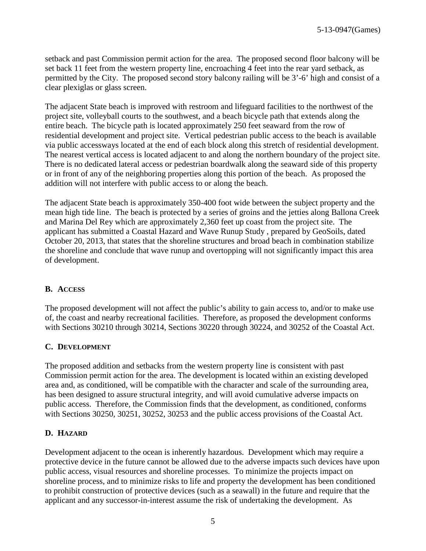setback and past Commission permit action for the area. The proposed second floor balcony will be set back 11 feet from the western property line, encroaching 4 feet into the rear yard setback, as permitted by the City. The proposed second story balcony railing will be 3'-6' high and consist of a clear plexiglas or glass screen.

The adjacent State beach is improved with restroom and lifeguard facilities to the northwest of the project site, volleyball courts to the southwest, and a beach bicycle path that extends along the entire beach. The bicycle path is located approximately 250 feet seaward from the row of residential development and project site. Vertical pedestrian public access to the beach is available via public accessways located at the end of each block along this stretch of residential development. The nearest vertical access is located adjacent to and along the northern boundary of the project site. There is no dedicated lateral access or pedestrian boardwalk along the seaward side of this property or in front of any of the neighboring properties along this portion of the beach. As proposed the addition will not interfere with public access to or along the beach.

The adjacent State beach is approximately 350-400 foot wide between the subject property and the mean high tide line. The beach is protected by a series of groins and the jetties along Ballona Creek and Marina Del Rey which are approximately 2,360 feet up coast from the project site. The applicant has submitted a Coastal Hazard and Wave Runup Study , prepared by GeoSoils, dated October 20, 2013, that states that the shoreline structures and broad beach in combination stabilize the shoreline and conclude that wave runup and overtopping will not significantly impact this area of development.

#### **B. ACCESS**

The proposed development will not affect the public's ability to gain access to, and/or to make use of, the coast and nearby recreational facilities. Therefore, as proposed the development conforms with Sections 30210 through 30214, Sections 30220 through 30224, and 30252 of the Coastal Act.

#### **C. DEVELOPMENT**

The proposed addition and setbacks from the western property line is consistent with past Commission permit action for the area. The development is located within an existing developed area and, as conditioned, will be compatible with the character and scale of the surrounding area, has been designed to assure structural integrity, and will avoid cumulative adverse impacts on public access. Therefore, the Commission finds that the development, as conditioned, conforms with Sections 30250, 30251, 30252, 30253 and the public access provisions of the Coastal Act.

# **D. HAZARD**

Development adjacent to the ocean is inherently hazardous. Development which may require a protective device in the future cannot be allowed due to the adverse impacts such devices have upon public access, visual resources and shoreline processes. To minimize the projects impact on shoreline process, and to minimize risks to life and property the development has been conditioned to prohibit construction of protective devices (such as a seawall) in the future and require that the applicant and any successor-in-interest assume the risk of undertaking the development. As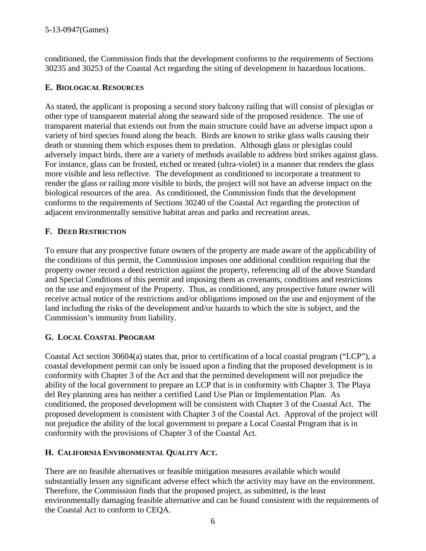conditioned, the Commission finds that the development conforms to the requirements of Sections 30235 and 30253 of the Coastal Act regarding the siting of development in hazardous locations.

### **E. BIOLOGICAL RESOURCES**

As stated, the applicant is proposing a second story balcony railing that will consist of plexiglas or other type of transparent material along the seaward side of the proposed residence. The use of transparent material that extends out from the main structure could have an adverse impact upon a variety of bird species found along the beach. Birds are known to strike glass walls causing their death or stunning them which exposes them to predation. Although glass or plexiglas could adversely impact birds, there are a variety of methods available to address bird strikes against glass. For instance, glass can be frosted, etched or treated (ultra-violet) in a manner that renders the glass more visible and less reflective. The development as conditioned to incorporate a treatment to render the glass or railing more visible to birds, the project will not have an adverse impact on the biological resources of the area. As conditioned, the Commission finds that the development conforms to the requirements of Sections 30240 of the Coastal Act regarding the protection of adjacent environmentally sensitive habitat areas and parks and recreation areas.

# **F. DEED RESTRICTION**

To ensure that any prospective future owners of the property are made aware of the applicability of the conditions of this permit, the Commission imposes one additional condition requiring that the property owner record a deed restriction against the property, referencing all of the above Standard and Special Conditions of this permit and imposing them as covenants, conditions and restrictions on the use and enjoyment of the Property. Thus, as conditioned, any prospective future owner will receive actual notice of the restrictions and/or obligations imposed on the use and enjoyment of the land including the risks of the development and/or hazards to which the site is subject, and the Commission's immunity from liability.

#### **G. LOCAL COASTAL PROGRAM**

Coastal Act section 30604(a) states that, prior to certification of a local coastal program ("LCP"), a coastal development permit can only be issued upon a finding that the proposed development is in conformity with Chapter 3 of the Act and that the permitted development will not prejudice the ability of the local government to prepare an LCP that is in conformity with Chapter 3. The Playa del Rey planning area has neither a certified Land Use Plan or Implementation Plan. As conditioned, the proposed development will be consistent with Chapter 3 of the Coastal Act. The proposed development is consistent with Chapter 3 of the Coastal Act. Approval of the project will not prejudice the ability of the local government to prepare a Local Coastal Program that is in conformity with the provisions of Chapter 3 of the Coastal Act.

#### **H. CALIFORNIA ENVIRONMENTAL QUALITY ACT.**

There are no feasible alternatives or feasible mitigation measures available which would substantially lessen any significant adverse effect which the activity may have on the environment. Therefore, the Commission finds that the proposed project, as submitted, is the least environmentally damaging feasible alternative and can be found consistent with the requirements of the Coastal Act to conform to CEQA.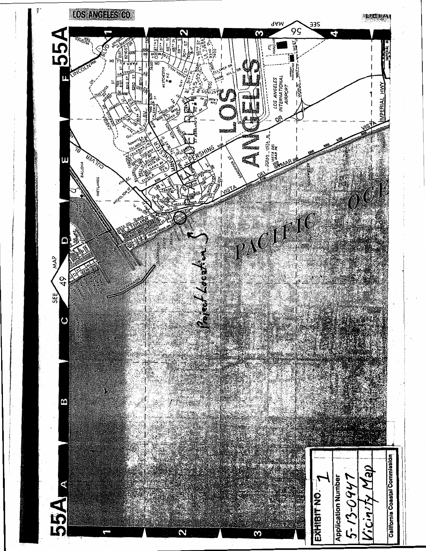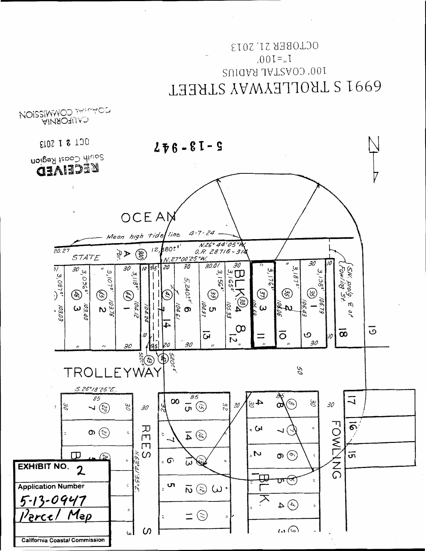# OCLOBEK ST' S013  $I<sub>u</sub> = 100$ , 100, COASTAL RADIUS 6991 S TROLLEYWAY STREET



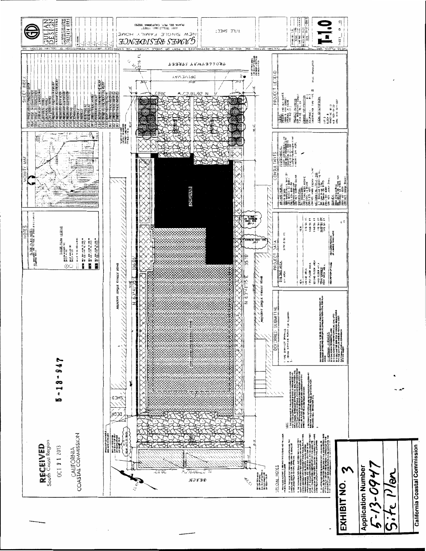

California Coastal Commission